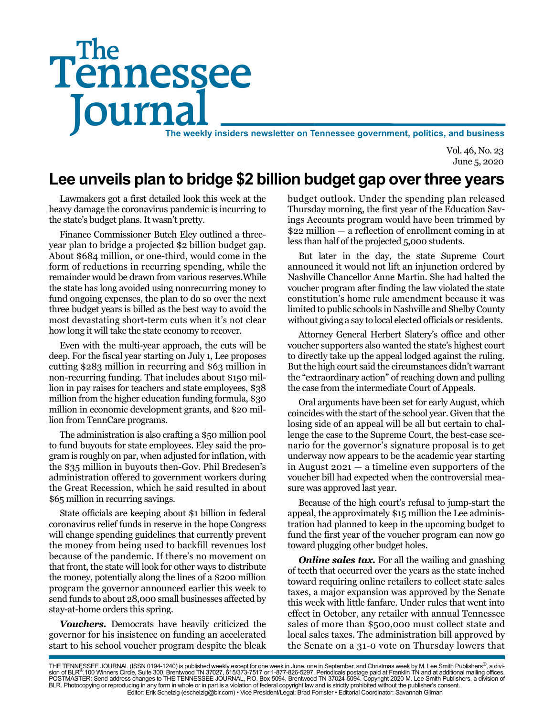# Tennessee **Journal** The weekly insiders newsletter on Tennessee government, politics, and business The

Vol. 46, No. 23 June 5, 2020

# **Lee unveils plan to bridge \$2 billion budget gap over three years**

Lawmakers got a first detailed look this week at the heavy damage the coronavirus pandemic is incurring to the state's budget plans. It wasn't pretty.

Finance Commissioner Butch Eley outlined a threeyear plan to bridge a projected \$2 billion budget gap. About \$684 million, or one-third, would come in the form of reductions in recurring spending, while the remainder would be drawn from various reserves.While the state has long avoided using nonrecurring money to fund ongoing expenses, the plan to do so over the next three budget years is billed as the best way to avoid the most devastating short-term cuts when it's not clear how long it will take the state economy to recover.

Even with the multi-year approach, the cuts will be deep. For the fiscal year starting on July 1, Lee proposes cutting \$283 million in recurring and \$63 million in non-recurring funding. That includes about \$150 million in pay raises for teachers and state employees, \$38 million from the higher education funding formula, \$30 million in economic development grants, and \$20 million from TennCare programs.

The administration is also crafting a \$50 million pool to fund buyouts for state employees. Eley said the program is roughly on par, when adjusted for inflation, with the \$35 million in buyouts then-Gov. Phil Bredesen's administration offered to government workers during the Great Recession, which he said resulted in about \$65 million in recurring savings.

State officials are keeping about \$1 billion in federal coronavirus relief funds in reserve in the hope Congress will change spending guidelines that currently prevent the money from being used to backfill revenues lost because of the pandemic. If there's no movement on that front, the state will look for other ways to distribute the money, potentially along the lines of a \$200 million program the governor announced earlier this week to send funds to about 28,000 small businesses affected by stay-at-home orders this spring.

*Vouchers.* Democrats have heavily criticized the governor for his insistence on funding an accelerated start to his school voucher program despite the bleak budget outlook. Under the spending plan released Thursday morning, the first year of the Education Savings Accounts program would have been trimmed by \$22 million — a reflection of enrollment coming in at less than half of the projected 5,000 students.

But later in the day, the state Supreme Court announced it would not lift an injunction ordered by Nashville Chancellor Anne Martin. She had halted the voucher program after finding the law violated the state constitution's home rule amendment because it was limited to public schools in Nashville and Shelby County without giving a say to local elected officials or residents.

Attorney General Herbert Slatery's office and other voucher supporters also wanted the state's highest court to directly take up the appeal lodged against the ruling. But the high court said the circumstances didn't warrant the "extraordinary action" of reaching down and pulling the case from the intermediate Court of Appeals.

Oral arguments have been set for early August, which coincides with the start of the school year. Given that the losing side of an appeal will be all but certain to challenge the case to the Supreme Court, the best-case scenario for the governor's signature proposal is to get underway now appears to be the academic year starting in August 2021 — a timeline even supporters of the voucher bill had expected when the controversial measure was approved last year.

Because of the high court's refusal to jump-start the appeal, the approximately \$15 million the Lee administration had planned to keep in the upcoming budget to fund the first year of the voucher program can now go toward plugging other budget holes.

*Online sales tax.* For all the wailing and gnashing of teeth that occurred over the years as the state inched toward requiring online retailers to collect state sales taxes, a major expansion was approved by the Senate this week with little fanfare. Under rules that went into effect in October, any retailer with annual Tennessee sales of more than \$500,000 must collect state and local sales taxes. The administration bill approved by the Senate on a 31-0 vote on Thursday lowers that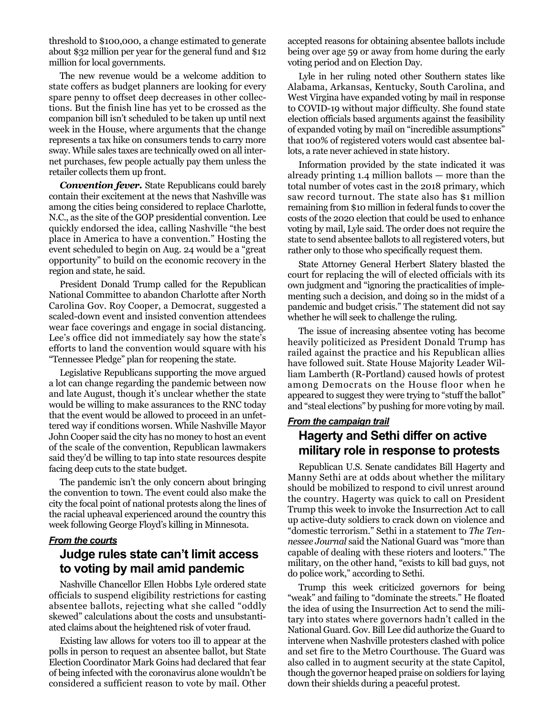threshold to \$100,000, a change estimated to generate about \$32 million per year for the general fund and \$12 million for local governments.

The new revenue would be a welcome addition to state coffers as budget planners are looking for every spare penny to offset deep decreases in other collections. But the finish line has yet to be crossed as the companion bill isn't scheduled to be taken up until next week in the House, where arguments that the change represents a tax hike on consumers tends to carry more sway. While sales taxes are technically owed on all internet purchases, few people actually pay them unless the retailer collects them up front.

*Convention fever.* State Republicans could barely contain their excitement at the news that Nashville was among the cities being considered to replace Charlotte, N.C., as the site of the GOP presidential convention. Lee quickly endorsed the idea, calling Nashville "the best place in America to have a convention." Hosting the event scheduled to begin on Aug. 24 would be a "great opportunity" to build on the economic recovery in the region and state, he said.

President Donald Trump called for the Republican National Committee to abandon Charlotte after North Carolina Gov. Roy Cooper, a Democrat, suggested a scaled-down event and insisted convention attendees wear face coverings and engage in social distancing. Lee's office did not immediately say how the state's efforts to land the convention would square with his "Tennessee Pledge" plan for reopening the state.

Legislative Republicans supporting the move argued a lot can change regarding the pandemic between now and late August, though it's unclear whether the state would be willing to make assurances to the RNC today that the event would be allowed to proceed in an unfettered way if conditions worsen. While Nashville Mayor John Cooper said the city has no money to host an event of the scale of the convention, Republican lawmakers said they'd be willing to tap into state resources despite facing deep cuts to the state budget.

The pandemic isn't the only concern about bringing the convention to town. The event could also make the city the focal point of national protests along the lines of the racial upheaval experienced around the country this week following George Floyd's killing in Minnesota.

#### *From the courts*

### **Judge rules state can't limit access to voting by mail amid pandemic**

Nashville Chancellor Ellen Hobbs Lyle ordered state officials to suspend eligibility restrictions for casting absentee ballots, rejecting what she called "oddly skewed" calculations about the costs and unsubstantiated claims about the heightened risk of voter fraud.

Existing law allows for voters too ill to appear at the polls in person to request an absentee ballot, but State Election Coordinator Mark Goins had declared that fear of being infected with the coronavirus alone wouldn't be considered a sufficient reason to vote by mail. Other

accepted reasons for obtaining absentee ballots include being over age 59 or away from home during the early voting period and on Election Day.

Lyle in her ruling noted other Southern states like Alabama, Arkansas, Kentucky, South Carolina, and West Virgina have expanded voting by mail in response to COVID-19 without major difficulty. She found state election officials based arguments against the feasibility of expanded voting by mail on "incredible assumptions" that 100% of registered voters would cast absentee ballots, a rate never achieved in state history.

Information provided by the state indicated it was already printing 1.4 million ballots — more than the total number of votes cast in the 2018 primary, which saw record turnout. The state also has \$1 million remaining from \$10 million in federal funds to cover the costs of the 2020 election that could be used to enhance voting by mail, Lyle said. The order does not require the state to send absentee ballots to all registered voters, but rather only to those who specifically request them.

State Attorney General Herbert Slatery blasted the court for replacing the will of elected officials with its own judgment and "ignoring the practicalities of implementing such a decision, and doing so in the midst of a pandemic and budget crisis." The statement did not say whether he will seek to challenge the ruling.

The issue of increasing absentee voting has become heavily politicized as President Donald Trump has railed against the practice and his Republican allies have followed suit. State House Majority Leader William Lamberth (R-Portland) caused howls of protest among Democrats on the House floor when he appeared to suggest they were trying to "stuff the ballot" and "steal elections" by pushing for more voting by mail.

#### *From the campaign trail* **Hagerty and Sethi differ on active**

# **military role in response to protests**

Republican U.S. Senate candidates Bill Hagerty and Manny Sethi are at odds about whether the military should be mobilized to respond to civil unrest around the country. Hagerty was quick to call on President Trump this week to invoke the Insurrection Act to call up active-duty soldiers to crack down on violence and "domestic terrorism." Sethi in a statement to *The Tennessee Journal* said the National Guard was "more than capable of dealing with these rioters and looters." The military, on the other hand, "exists to kill bad guys, not do police work," according to Sethi.

Trump this week criticized governors for being "weak" and failing to "dominate the streets." He floated the idea of using the Insurrection Act to send the military into states where governors hadn't called in the National Guard. Gov. Bill Lee did authorize the Guard to intervene when Nashville protesters clashed with police and set fire to the Metro Courthouse. The Guard was also called in to augment security at the state Capitol, though the governor heaped praise on soldiers for laying down their shields during a peaceful protest.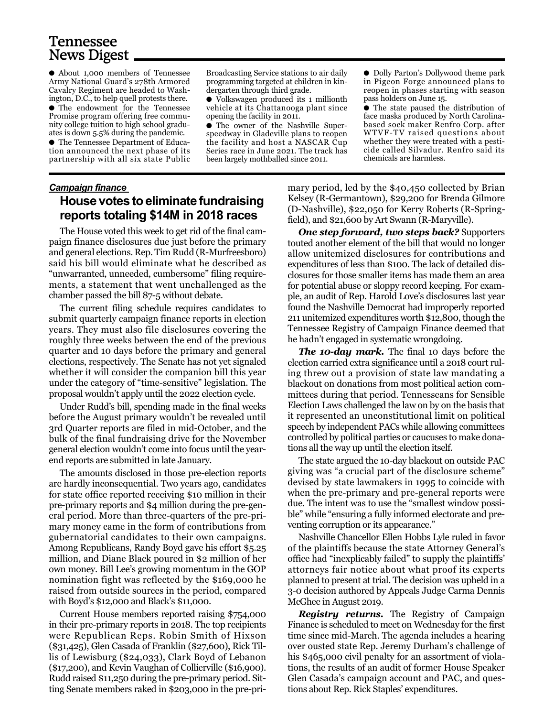# Tennessee News Digest

● About 1,000 members of Tennessee Army National Guard's 278th Armored Cavalry Regiment are headed to Washington, D.C., to help quell protests there.

● The endowment for the Tennessee Promise program offering free community college tuition to high school graduates is down 5.5% during the pandemic.

● The Tennessee Department of Education announced the next phase of its partnership with all six state Public

Broadcasting Service stations to air daily programming targeted at children in kindergarten through third grade.

● Volkswagen produced its 1 millionth vehicle at its Chattanooga plant since opening the facility in 2011.

● The owner of the Nashville Superspeedway in Gladeville plans to reopen the facility and host a NASCAR Cup Series race in June 2021. The track has been largely mothballed since 2011.

● Dolly Parton's Dollywood theme park in Pigeon Forge announced plans to reopen in phases starting with season pass holders on June 15.

● The state paused the distribution of face masks produced by North Carolinabased sock maker Renfro Corp. after WTVF-TV raised questions about whether they were treated with a pesticide called Silvadur. Renfro said its chemicals are harmless.

#### *Campaign finance*  **House votes to eliminate fundraising reports totaling \$14M in 2018 races**

The House voted this week to get rid of the final campaign finance disclosures due just before the primary and general elections. Rep. Tim Rudd (R-Murfreesboro) said his bill would eliminate what he described as "unwarranted, unneeded, cumbersome" filing requirements, a statement that went unchallenged as the chamber passed the bill 87-5 without debate.

The current filing schedule requires candidates to submit quarterly campaign finance reports in election years. They must also file disclosures covering the roughly three weeks between the end of the previous quarter and 10 days before the primary and general elections, respectively. The Senate has not yet signaled whether it will consider the companion bill this year under the category of "time-sensitive" legislation. The proposal wouldn't apply until the 2022 election cycle.

Under Rudd's bill, spending made in the final weeks before the August primary wouldn't be revealed until 3rd Quarter reports are filed in mid-October, and the bulk of the final fundraising drive for the November general election wouldn't come into focus until the yearend reports are submitted in late January.

The amounts disclosed in those pre-election reports are hardly inconsequential. Two years ago, candidates for state office reported receiving \$10 million in their pre-primary reports and \$4 million during the pre-general period. More than three-quarters of the pre-primary money came in the form of contributions from gubernatorial candidates to their own campaigns. Among Republicans, Randy Boyd gave his effort \$5.25 million, and Diane Black poured in \$2 million of her own money. Bill Lee's growing momentum in the GOP nomination fight was reflected by the \$169,000 he raised from outside sources in the period, compared with Boyd's \$12,000 and Black's \$11,000.

Current House members reported raising \$754,000 in their pre-primary reports in 2018. The top recipients were Republican Reps. Robin Smith of Hixson (\$31,425), Glen Casada of Franklin (\$27,600), Rick Tillis of Lewisburg (\$24,033), Clark Boyd of Lebanon (\$17,200), and Kevin Vaughan of Collierville (\$16,900). Rudd raised \$11,250 during the pre-primary period. Sitting Senate members raked in \$203,000 in the pre-primary period, led by the \$40,450 collected by Brian Kelsey (R-Germantown), \$29,200 for Brenda Gilmore (D-Nashville), \$22,050 for Kerry Roberts (R-Springfield), and \$21,600 by Art Swann (R-Maryville).

*One step forward, two steps back?* Supporters touted another element of the bill that would no longer allow unitemized disclosures for contributions and expenditures of less than \$100. The lack of detailed disclosures for those smaller items has made them an area for potential abuse or sloppy record keeping. For example, an audit of Rep. Harold Love's disclosures last year found the Nashville Democrat had improperly reported 211 unitemized expenditures worth \$12,800, though the Tennessee Registry of Campaign Finance deemed that he hadn't engaged in systematic wrongdoing.

*The 10-day mark.* The final 10 days before the election carried extra significance until a 2018 court ruling threw out a provision of state law mandating a blackout on donations from most political action committees during that period. Tennesseans for Sensible Election Laws challenged the law on by on the basis that it represented an unconstitutional limit on political speech by independent PACs while allowing committees controlled by political parties or caucuses to make donations all the way up until the election itself.

The state argued the 10-day blackout on outside PAC giving was "a crucial part of the disclosure scheme" devised by state lawmakers in 1995 to coincide with when the pre-primary and pre-general reports were due. The intent was to use the "smallest window possible" while "ensuring a fully informed electorate and preventing corruption or its appearance."

Nashville Chancellor Ellen Hobbs Lyle ruled in favor of the plaintiffs because the state Attorney General's office had "inexplicably failed" to supply the plaintiffs' attorneys fair notice about what proof its experts planned to present at trial. The decision was upheld in a 3-0 decision authored by Appeals Judge Carma Dennis McGhee in August 2019.

*Registry returns.* The Registry of Campaign Finance is scheduled to meet on Wednesday for the first time since mid-March. The agenda includes a hearing over ousted state Rep. Jeremy Durham's challenge of his \$465,000 civil penalty for an assortment of violations, the results of an audit of former House Speaker Glen Casada's campaign account and PAC, and questions about Rep. Rick Staples' expenditures.